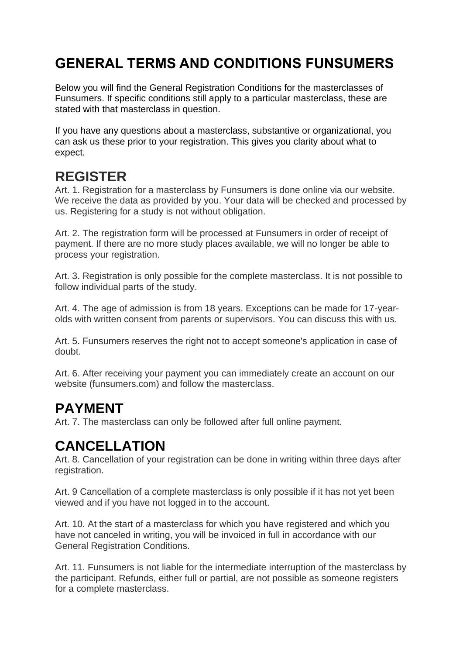## **GENERAL TERMS AND CONDITIONS FUNSUMERS**

Below you will find the General Registration Conditions for the masterclasses of Funsumers. If specific conditions still apply to a particular masterclass, these are stated with that masterclass in question.

If you have any questions about a masterclass, substantive or organizational, you can ask us these prior to your registration. This gives you clarity about what to expect.

#### **REGISTER**

Art. 1. Registration for a masterclass by Funsumers is done online via our website. We receive the data as provided by you. Your data will be checked and processed by us. Registering for a study is not without obligation.

Art. 2. The registration form will be processed at Funsumers in order of receipt of payment. If there are no more study places available, we will no longer be able to process your registration.

Art. 3. Registration is only possible for the complete masterclass. It is not possible to follow individual parts of the study.

Art. 4. The age of admission is from 18 years. Exceptions can be made for 17-yearolds with written consent from parents or supervisors. You can discuss this with us.

Art. 5. Funsumers reserves the right not to accept someone's application in case of doubt.

Art. 6. After receiving your payment you can immediately create an account on our website (funsumers.com) and follow the masterclass.

### **PAYMENT**

Art. 7. The masterclass can only be followed after full online payment.

### **CANCELLATION**

Art. 8. Cancellation of your registration can be done in writing within three days after registration.

Art. 9 Cancellation of a complete masterclass is only possible if it has not yet been viewed and if you have not logged in to the account.

Art. 10. At the start of a masterclass for which you have registered and which you have not canceled in writing, you will be invoiced in full in accordance with our General Registration Conditions.

Art. 11. Funsumers is not liable for the intermediate interruption of the masterclass by the participant. Refunds, either full or partial, are not possible as someone registers for a complete masterclass.